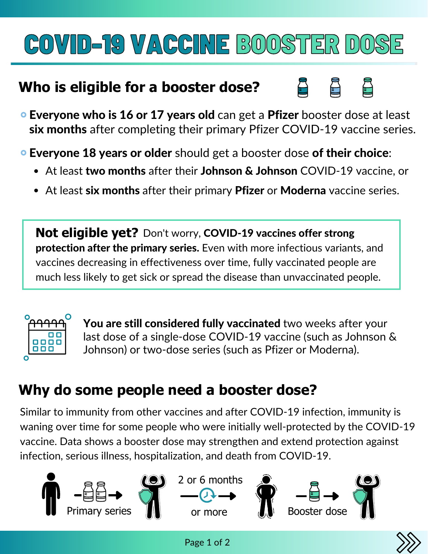# COVID-19 VACCINE BOOSTER DOSE

#### **Who is eligible for a booster dose?**



**• Everyone who is 16 or 17 years old** can get a **Pfizer** booster dose at least six months after completing their primary Pfizer COVID-19 vaccine series.

**Everyone 18 years or older** should get a booster dose of their choice:

- At least two months after their Johnson & Johnson COVID-19 vaccine, or
- At least six months after their primary Pfizer or Moderna vaccine series.

**Not eligible yet?** Don't worry, COVID-19 vaccines offer strong protection after the primary series. Even with more infectious variants, and vaccines decreasing in effectiveness over time, fully vaccinated people are much less likely to get sick or spread the disease than unvaccinated people.



You are still considered fully vaccinated two weeks after your last dose of a single-dose COVID-19 vaccine (such as Johnson & Johnson) or two-dose series (such as Pfizer or Moderna).

### **Why do some people need a booster dose?**

Similar to immunity from other vaccines and after COVID-19 infection, immunity is waning over time for some people who were initially well-protected by the COVID-19 vaccine. Data shows a booster dose may strengthen and extend protection against infection, serious illness, hospitalization, and death from COVID-19.